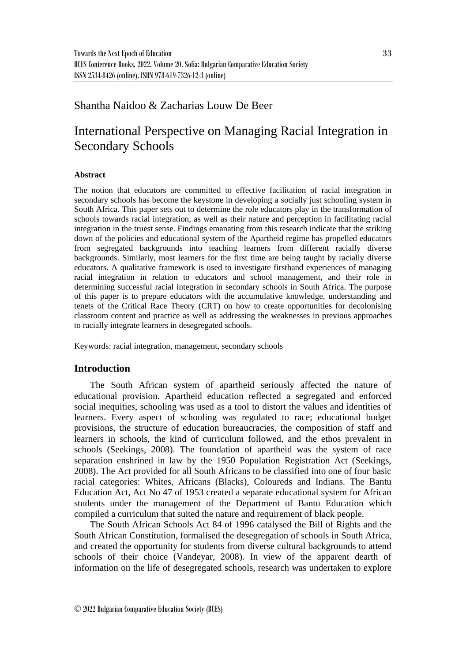# Shantha Naidoo & Zacharias Louw De Beer

# International Perspective on Managing Racial Integration in Secondary Schools

## **Abstract**

The notion that educators are committed to effective facilitation of racial integration in secondary schools has become the keystone in developing a socially just schooling system in South Africa. This paper sets out to determine the role educators play in the transformation of schools towards racial integration, as well as their nature and perception in facilitating racial integration in the truest sense. Findings emanating from this research indicate that the striking down of the policies and educational system of the Apartheid regime has propelled educators from segregated backgrounds into teaching learners from different racially diverse backgrounds. Similarly, most learners for the first time are being taught by racially diverse educators. A qualitative framework is used to investigate firsthand experiences of managing racial integration in relation to educators and school management, and their role in determining successful racial integration in secondary schools in South Africa. The purpose of this paper is to prepare educators with the accumulative knowledge, understanding and tenets of the Critical Race Theory (CRT) on how to create opportunities for decolonising classroom content and practice as well as addressing the weaknesses in previous approaches to racially integrate learners in desegregated schools.

Keywords: racial integration, management, secondary schools

#### **Introduction**

The South African system of apartheid seriously affected the nature of educational provision. Apartheid education reflected a segregated and enforced social inequities, schooling was used as a tool to distort the values and identities of learners. Every aspect of schooling was regulated to race; educational budget provisions, the structure of education bureaucracies, the composition of staff and learners in schools, the kind of curriculum followed, and the ethos prevalent in schools (Seekings, 2008). The foundation of apartheid was the system of race separation enshrined in law by the 1950 Population Registration Act (Seekings, 2008). The Act provided for all South Africans to be classified into one of four basic racial categories: Whites, Africans (Blacks), Coloureds and Indians. The Bantu Education Act, Act No 47 of 1953 created a separate educational system for African students under the management of the Department of Bantu Education which compiled a curriculum that suited the nature and requirement of black people.

The South African Schools Act 84 of 1996 catalysed the Bill of Rights and the South African Constitution, formalised the desegregation of schools in South Africa, and created the opportunity for students from diverse cultural backgrounds to attend schools of their choice (Vandeyar, 2008). In view of the apparent dearth of information on the life of desegregated schools, research was undertaken to explore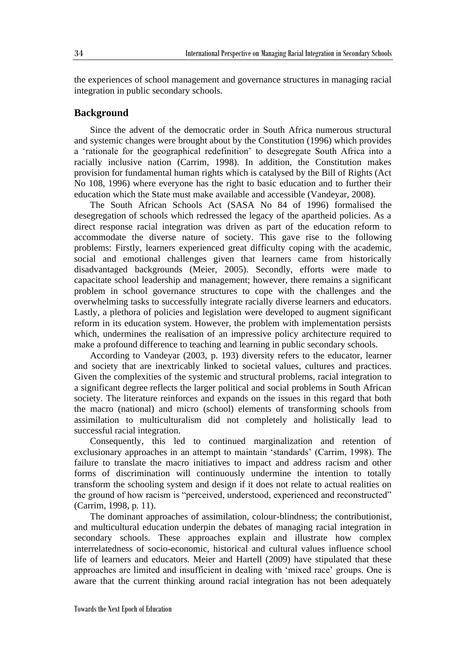the experiences of school management and governance structures in managing racial integration in public secondary schools.

## **Background**

Since the advent of the democratic order in South Africa numerous structural and systemic changes were brought about by the Constitution (1996) which provides a 'rationale for the geographical redefinition' to desegregate South Africa into a racially inclusive nation (Carrim, 1998). In addition, the Constitution makes provision for fundamental human rights which is catalysed by the Bill of Rights (Act No 108, 1996) where everyone has the right to basic education and to further their education which the State must make available and accessible (Vandeyar, 2008).

The South African Schools Act (SASA No 84 of 1996) formalised the desegregation of schools which redressed the legacy of the apartheid policies. As a direct response racial integration was driven as part of the education reform to accommodate the diverse nature of society. This gave rise to the following problems: Firstly, learners experienced great difficulty coping with the academic, social and emotional challenges given that learners came from historically disadvantaged backgrounds (Meier, 2005). Secondly, efforts were made to capacitate school leadership and management; however, there remains a significant problem in school governance structures to cope with the challenges and the overwhelming tasks to successfully integrate racially diverse learners and educators. Lastly, a plethora of policies and legislation were developed to augment significant reform in its education system. However, the problem with implementation persists which, undermines the realisation of an impressive policy architecture required to make a profound difference to teaching and learning in public secondary schools.

According to Vandeyar (2003, p. 193) diversity refers to the educator, learner and society that are inextricably linked to societal values, cultures and practices. Given the complexities of the systemic and structural problems, racial integration to a significant degree reflects the larger political and social problems in South African society. The literature reinforces and expands on the issues in this regard that both the macro (national) and micro (school) elements of transforming schools from assimilation to multiculturalism did not completely and holistically lead to successful racial integration.

Consequently, this led to continued marginalization and retention of exclusionary approaches in an attempt to maintain 'standards' (Carrim, 1998). The failure to translate the macro initiatives to impact and address racism and other forms of discrimination will continuously undermine the intention to totally transform the schooling system and design if it does not relate to actual realities on the ground of how racism is "perceived, understood, experienced and reconstructed" (Carrim, 1998, p. 11).

The dominant approaches of assimilation, colour-blindness; the contributionist, and multicultural education underpin the debates of managing racial integration in secondary schools. These approaches explain and illustrate how complex interrelatedness of socio-economic, historical and cultural values influence school life of learners and educators. Meier and Hartell (2009) have stipulated that these approaches are limited and insufficient in dealing with 'mixed race' groups. One is aware that the current thinking around racial integration has not been adequately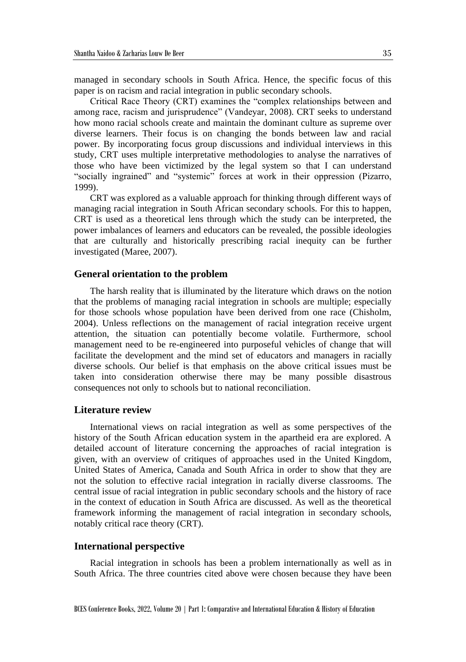managed in secondary schools in South Africa. Hence, the specific focus of this paper is on racism and racial integration in public secondary schools.

Critical Race Theory (CRT) examines the "complex relationships between and among race, racism and jurisprudence" (Vandeyar, 2008). CRT seeks to understand how mono racial schools create and maintain the dominant culture as supreme over diverse learners. Their focus is on changing the bonds between law and racial power. By incorporating focus group discussions and individual interviews in this study, CRT uses multiple interpretative methodologies to analyse the narratives of those who have been victimized by the legal system so that I can understand "socially ingrained" and "systemic" forces at work in their oppression (Pizarro, 1999).

CRT was explored as a valuable approach for thinking through different ways of managing racial integration in South African secondary schools. For this to happen, CRT is used as a theoretical lens through which the study can be interpreted, the power imbalances of learners and educators can be revealed, the possible ideologies that are culturally and historically prescribing racial inequity can be further investigated (Maree, 2007).

## **General orientation to the problem**

The harsh reality that is illuminated by the literature which draws on the notion that the problems of managing racial integration in schools are multiple; especially for those schools whose population have been derived from one race (Chisholm, 2004). Unless reflections on the management of racial integration receive urgent attention, the situation can potentially become volatile. Furthermore, school management need to be re-engineered into purposeful vehicles of change that will facilitate the development and the mind set of educators and managers in racially diverse schools. Our belief is that emphasis on the above critical issues must be taken into consideration otherwise there may be many possible disastrous consequences not only to schools but to national reconciliation.

#### **Literature review**

International views on racial integration as well as some perspectives of the history of the South African education system in the apartheid era are explored. A detailed account of literature concerning the approaches of racial integration is given, with an overview of critiques of approaches used in the United Kingdom, United States of America, Canada and South Africa in order to show that they are not the solution to effective racial integration in racially diverse classrooms. The central issue of racial integration in public secondary schools and the history of race in the context of education in South Africa are discussed. As well as the theoretical framework informing the management of racial integration in secondary schools, notably critical race theory (CRT).

#### **International perspective**

Racial integration in schools has been a problem internationally as well as in South Africa. The three countries cited above were chosen because they have been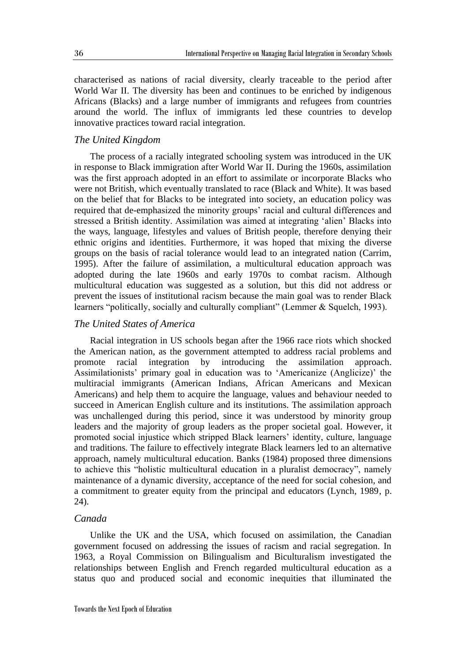characterised as nations of racial diversity, clearly traceable to the period after World War II. The diversity has been and continues to be enriched by indigenous Africans (Blacks) and a large number of immigrants and refugees from countries around the world. The influx of immigrants led these countries to develop innovative practices toward racial integration.

## *The United Kingdom*

The process of a racially integrated schooling system was introduced in the UK in response to Black immigration after World War II. During the 1960s, assimilation was the first approach adopted in an effort to assimilate or incorporate Blacks who were not British, which eventually translated to race (Black and White). It was based on the belief that for Blacks to be integrated into society, an education policy was required that de-emphasized the minority groups' racial and cultural differences and stressed a British identity. Assimilation was aimed at integrating 'alien' Blacks into the ways, language, lifestyles and values of British people, therefore denying their ethnic origins and identities. Furthermore, it was hoped that mixing the diverse groups on the basis of racial tolerance would lead to an integrated nation (Carrim, 1995). After the failure of assimilation, a multicultural education approach was adopted during the late 1960s and early 1970s to combat racism. Although multicultural education was suggested as a solution, but this did not address or prevent the issues of institutional racism because the main goal was to render Black learners "politically, socially and culturally compliant" (Lemmer & Squelch, 1993).

### *The United States of America*

Racial integration in US schools began after the 1966 race riots which shocked the American nation, as the government attempted to address racial problems and promote racial integration by introducing the assimilation approach. Assimilationists' primary goal in education was to 'Americanize (Anglicize)' the multiracial immigrants (American Indians, African Americans and Mexican Americans) and help them to acquire the language, values and behaviour needed to succeed in American English culture and its institutions. The assimilation approach was unchallenged during this period, since it was understood by minority group leaders and the majority of group leaders as the proper societal goal. However, it promoted social injustice which stripped Black learners' identity, culture, language and traditions. The failure to effectively integrate Black learners led to an alternative approach, namely multicultural education. Banks (1984) proposed three dimensions to achieve this "holistic multicultural education in a pluralist democracy", namely maintenance of a dynamic diversity, acceptance of the need for social cohesion, and a commitment to greater equity from the principal and educators (Lynch, 1989, p. 24).

# *Canada*

Unlike the UK and the USA, which focused on assimilation, the Canadian government focused on addressing the issues of racism and racial segregation. In 1963, a Royal Commission on Bilingualism and Biculturalism investigated the relationships between English and French regarded multicultural education as a status quo and produced social and economic inequities that illuminated the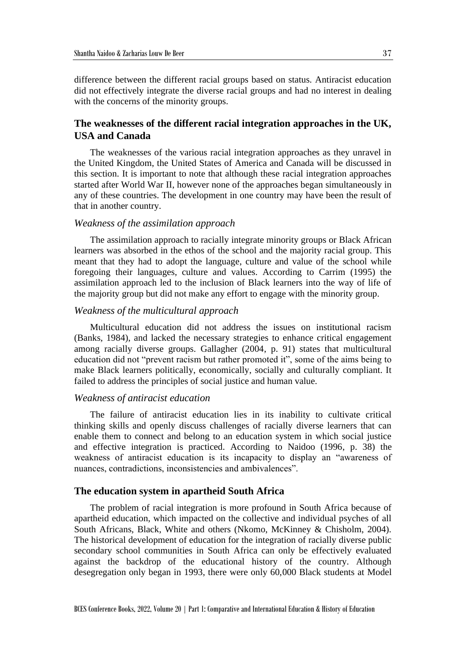difference between the different racial groups based on status. Antiracist education did not effectively integrate the diverse racial groups and had no interest in dealing with the concerns of the minority groups.

# **The weaknesses of the different racial integration approaches in the UK, USA and Canada**

The weaknesses of the various racial integration approaches as they unravel in the United Kingdom, the United States of America and Canada will be discussed in this section. It is important to note that although these racial integration approaches started after World War II, however none of the approaches began simultaneously in any of these countries. The development in one country may have been the result of that in another country.

## *Weakness of the assimilation approach*

The assimilation approach to racially integrate minority groups or Black African learners was absorbed in the ethos of the school and the majority racial group. This meant that they had to adopt the language, culture and value of the school while foregoing their languages, culture and values. According to Carrim (1995) the assimilation approach led to the inclusion of Black learners into the way of life of the majority group but did not make any effort to engage with the minority group.

## *Weakness of the multicultural approach*

Multicultural education did not address the issues on institutional racism (Banks, 1984), and lacked the necessary strategies to enhance critical engagement among racially diverse groups. Gallagher (2004, p. 91) states that multicultural education did not "prevent racism but rather promoted it", some of the aims being to make Black learners politically, economically, socially and culturally compliant. It failed to address the principles of social justice and human value.

## *Weakness of antiracist education*

The failure of antiracist education lies in its inability to cultivate critical thinking skills and openly discuss challenges of racially diverse learners that can enable them to connect and belong to an education system in which social justice and effective integration is practiced. According to Naidoo (1996, p. 38) the weakness of antiracist education is its incapacity to display an "awareness of nuances, contradictions, inconsistencies and ambivalences".

## **The education system in apartheid South Africa**

The problem of racial integration is more profound in South Africa because of apartheid education, which impacted on the collective and individual psyches of all South Africans, Black, White and others (Nkomo, McKinney & Chisholm, 2004). The historical development of education for the integration of racially diverse public secondary school communities in South Africa can only be effectively evaluated against the backdrop of the educational history of the country. Although desegregation only began in 1993, there were only 60,000 Black students at Model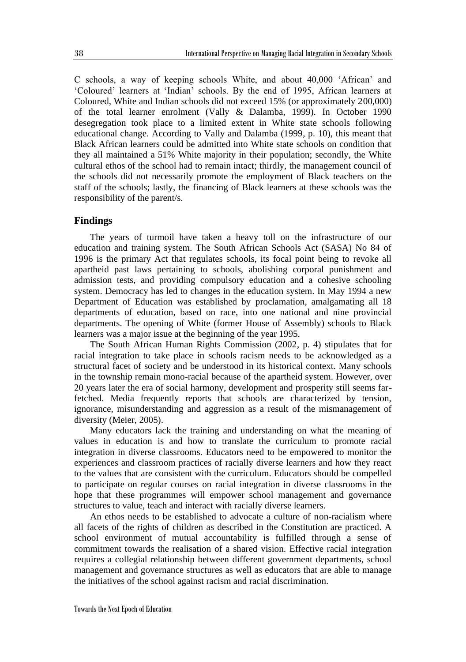C schools, a way of keeping schools White, and about 40,000 'African' and 'Coloured' learners at 'Indian' schools. By the end of 1995, African learners at Coloured, White and Indian schools did not exceed 15% (or approximately 200,000) of the total learner enrolment (Vally & Dalamba, 1999). In October 1990 desegregation took place to a limited extent in White state schools following educational change. According to Vally and Dalamba (1999, p. 10), this meant that Black African learners could be admitted into White state schools on condition that they all maintained a 51% White majority in their population; secondly, the White cultural ethos of the school had to remain intact; thirdly, the management council of the schools did not necessarily promote the employment of Black teachers on the staff of the schools; lastly, the financing of Black learners at these schools was the responsibility of the parent/s.

# **Findings**

The years of turmoil have taken a heavy toll on the infrastructure of our education and training system. The South African Schools Act (SASA) No 84 of 1996 is the primary Act that regulates schools, its focal point being to revoke all apartheid past laws pertaining to schools, abolishing corporal punishment and admission tests, and providing compulsory education and a cohesive schooling system. Democracy has led to changes in the education system. In May 1994 a new Department of Education was established by proclamation, amalgamating all 18 departments of education, based on race, into one national and nine provincial departments. The opening of White (former House of Assembly) schools to Black learners was a major issue at the beginning of the year 1995.

The South African Human Rights Commission (2002, p. 4) stipulates that for racial integration to take place in schools racism needs to be acknowledged as a structural facet of society and be understood in its historical context. Many schools in the township remain mono-racial because of the apartheid system. However, over 20 years later the era of social harmony, development and prosperity still seems farfetched. Media frequently reports that schools are characterized by tension, ignorance, misunderstanding and aggression as a result of the mismanagement of diversity (Meier, 2005).

Many educators lack the training and understanding on what the meaning of values in education is and how to translate the curriculum to promote racial integration in diverse classrooms. Educators need to be empowered to monitor the experiences and classroom practices of racially diverse learners and how they react to the values that are consistent with the curriculum. Educators should be compelled to participate on regular courses on racial integration in diverse classrooms in the hope that these programmes will empower school management and governance structures to value, teach and interact with racially diverse learners.

An ethos needs to be established to advocate a culture of non-racialism where all facets of the rights of children as described in the Constitution are practiced. A school environment of mutual accountability is fulfilled through a sense of commitment towards the realisation of a shared vision. Effective racial integration requires a collegial relationship between different government departments, school management and governance structures as well as educators that are able to manage the initiatives of the school against racism and racial discrimination.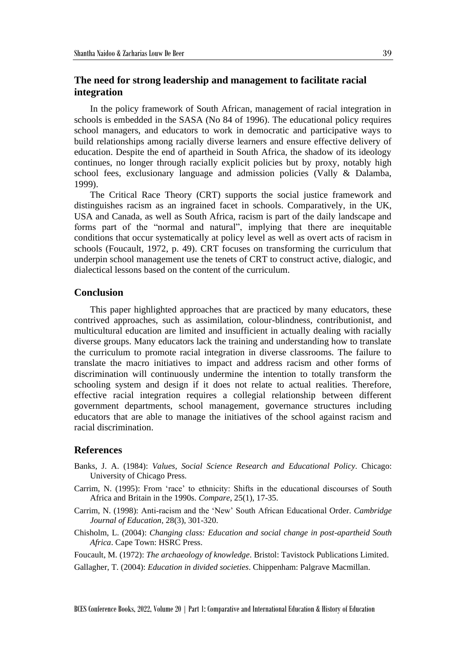# **The need for strong leadership and management to facilitate racial integration**

In the policy framework of South African, management of racial integration in schools is embedded in the SASA (No 84 of 1996). The educational policy requires school managers, and educators to work in democratic and participative ways to build relationships among racially diverse learners and ensure effective delivery of education. Despite the end of apartheid in South Africa, the shadow of its ideology continues, no longer through racially explicit policies but by proxy, notably high school fees, exclusionary language and admission policies (Vally & Dalamba, 1999).

The Critical Race Theory (CRT) supports the social justice framework and distinguishes racism as an ingrained facet in schools. Comparatively, in the UK, USA and Canada, as well as South Africa, racism is part of the daily landscape and forms part of the "normal and natural", implying that there are inequitable conditions that occur systematically at policy level as well as overt acts of racism in schools (Foucault, 1972, p. 49). CRT focuses on transforming the curriculum that underpin school management use the tenets of CRT to construct active, dialogic, and dialectical lessons based on the content of the curriculum.

## **Conclusion**

This paper highlighted approaches that are practiced by many educators, these contrived approaches, such as assimilation, colour-blindness, contributionist, and multicultural education are limited and insufficient in actually dealing with racially diverse groups. Many educators lack the training and understanding how to translate the curriculum to promote racial integration in diverse classrooms. The failure to translate the macro initiatives to impact and address racism and other forms of discrimination will continuously undermine the intention to totally transform the schooling system and design if it does not relate to actual realities. Therefore, effective racial integration requires a collegial relationship between different government departments, school management, governance structures including educators that are able to manage the initiatives of the school against racism and racial discrimination.

## **References**

- Banks, J. A. (1984): *Values, Social Science Research and Educational Policy*. Chicago: University of Chicago Press.
- Carrim, N. (1995): From 'race' to ethnicity: Shifts in the educational discourses of South Africa and Britain in the 1990s. *Compare*, 25(1), 17-35.
- Carrim, N. (1998): Anti‐racism and the 'New' South African Educational Order. *Cambridge Journal of Education*, 28(3), 301-320.
- Chisholm, L. (2004): *Changing class: Education and social change in post-apartheid South Africa*. Cape Town: HSRC Press.
- Foucault, M. (1972): *The archaeology of knowledge*. Bristol: Tavistock Publications Limited.
- Gallagher, T. (2004): *Education in divided societies*. Chippenham: Palgrave Macmillan.

BCES Conference Books, 2022, Volume 20 | Part 1: Comparative and International Education & History of Education